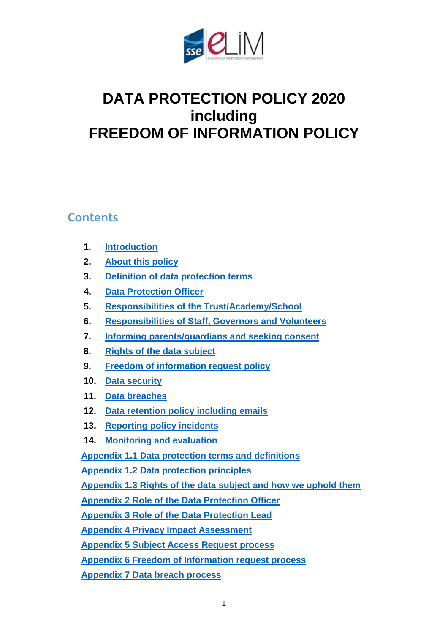

# **DATA PROTECTION POLICY 2020 including FREEDOM OF INFORMATION POLICY**

#### **Contents**

- **1. [Introduction](#page-1-0)**
- **2. [About this policy](#page-2-0)**
- **3. [Definition of data protection terms](#page-2-1)**
- **4. [Data Protection Officer](#page-2-2)**
- **5. Responsibilities [of the Trust/Academy/School](#page-3-0)**
- **6. [Responsibilities of Staff, Governors](#page-3-0) and Volunteers**
- **7. [Informing parents/guardians and seeking consent](#page-4-0)**
- **8. [Rights of the data subject](#page-5-0)**
- **9. [Freedom of information request](#page-6-0) policy**
- **10. [Data security](#page-7-0)**
- **11. [Data breaches](#page-8-0)**
- **12. [Data retention policy](#page-9-0) including emails**
- **13. [Reporting policy incidents](#page-9-1)**
- **14. [Monitoring and evaluation](#page-9-2)**

**Appendix 1.1 [Data protection terms and definitions](#page-9-3)**

**Appendix 1.2 [Data protection principles](#page-11-0)**

**[Appendix 1.3 Rights of the data subject](#page-12-0) and how we uphold them**

**[Appendix 2 Role of the Data Protection](#page-14-0) Officer**

**[Appendix 3 Role of the Data Protection Lead](#page-16-0)**

**Appendix [4 Privacy Impact Assessment](#page-18-0)**

**[Appendix 5 Subject Access Request process](#page-20-0)**

**[Appendix 6 Freedom of Information request process](#page-22-0)**

**Appendix 7 [Data breach](#page-24-0) process**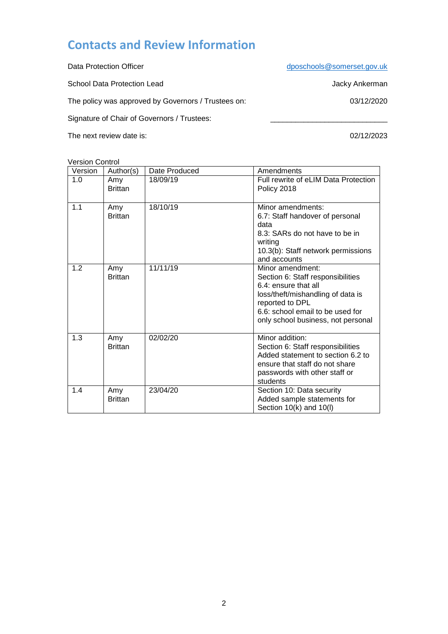### **Contacts and Review Information**

Data Protection Officer deposits of the control of the deposition of the [dposchools@somerset.gov.uk](mailto:dposchools@somerset.gov.uk) School Data Protection Lead **Jacky Ankerman** The policy was approved by Governors / Trustees on: 03/12/2020 Signature of Chair of Governors / Trustees:

The next review date is: 02/12/2023

Version Control

<span id="page-1-0"></span>

| Version | Author(s)             | Date Produced | Amendments                                                                                                                                                                                                      |
|---------|-----------------------|---------------|-----------------------------------------------------------------------------------------------------------------------------------------------------------------------------------------------------------------|
| 1.0     | Amy<br><b>Brittan</b> | 18/09/19      | Full rewrite of eLIM Data Protection<br>Policy 2018                                                                                                                                                             |
| 1.1     | Amy<br><b>Brittan</b> | 18/10/19      | Minor amendments:<br>6.7: Staff handover of personal<br>data<br>8.3: SARs do not have to be in<br>writing<br>10.3(b): Staff network permissions<br>and accounts                                                 |
| 1.2     | Amy<br><b>Brittan</b> | 11/11/19      | Minor amendment:<br>Section 6: Staff responsibilities<br>6.4: ensure that all<br>loss/theft/mishandling of data is<br>reported to DPL<br>6.6: school email to be used for<br>only school business, not personal |
| 1.3     | Amy<br><b>Brittan</b> | 02/02/20      | Minor addition:<br>Section 6: Staff responsibilities<br>Added statement to section 6.2 to<br>ensure that staff do not share<br>passwords with other staff or<br>students                                        |
| 1.4     | Amy<br><b>Brittan</b> | 23/04/20      | Section 10: Data security<br>Added sample statements for<br>Section $10(k)$ and $10(l)$                                                                                                                         |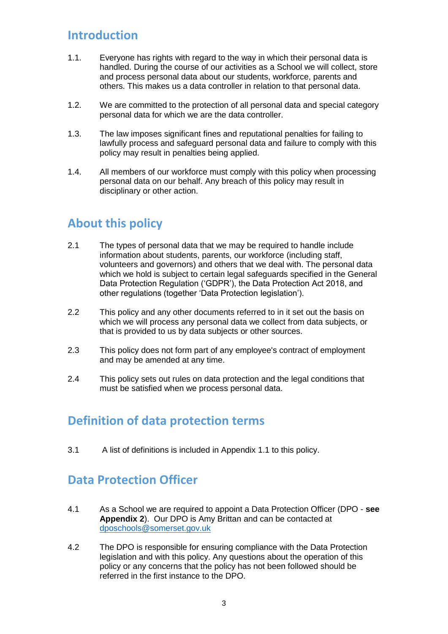#### **Introduction**

- 1.1. Everyone has rights with regard to the way in which their personal data is handled. During the course of our activities as a School we will collect, store and process personal data about our students, workforce, parents and others. This makes us a data controller in relation to that personal data.
- 1.2. We are committed to the protection of all personal data and special category personal data for which we are the data controller.
- 1.3. The law imposes significant fines and reputational penalties for failing to lawfully process and safeguard personal data and failure to comply with this policy may result in penalties being applied.
- 1.4. All members of our workforce must comply with this policy when processing personal data on our behalf. Any breach of this policy may result in disciplinary or other action.

### <span id="page-2-0"></span>**About this policy**

- 2.1 The types of personal data that we may be required to handle include information about students, parents, our workforce (including staff, volunteers and governors) and others that we deal with. The personal data which we hold is subject to certain legal safeguards specified in the General Data Protection Regulation ('GDPR'), the Data Protection Act 2018, and other regulations (together 'Data Protection legislation').
- 2.2 This policy and any other documents referred to in it set out the basis on which we will process any personal data we collect from data subjects, or that is provided to us by data subjects or other sources.
- 2.3 This policy does not form part of any employee's contract of employment and may be amended at any time.
- 2.4 This policy sets out rules on data protection and the legal conditions that must be satisfied when we process personal data.

### <span id="page-2-1"></span>**Definition of data protection terms**

3.1 A list of definitions is included in Appendix 1.1 to this policy.

#### <span id="page-2-2"></span>**Data Protection Officer**

- 4.1 As a School we are required to appoint a Data Protection Officer (DPO **see Appendix 2**). Our DPO is Amy Brittan and can be contacted at [dposchools@somerset.gov.uk](mailto:dposchools@somerset.gov.uk)
- 4.2 The DPO is responsible for ensuring compliance with the Data Protection legislation and with this policy. Any questions about the operation of this policy or any concerns that the policy has not been followed should be referred in the first instance to the DPO.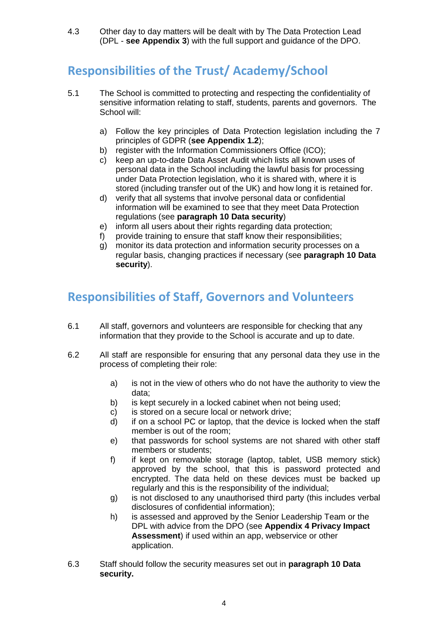4.3 Other day to day matters will be dealt with by The Data Protection Lead (DPL - **see Appendix 3**) with the full support and guidance of the DPO.

## **Responsibilities of the Trust/ Academy/School**

- 5.1 The School is committed to protecting and respecting the confidentiality of sensitive information relating to staff, students, parents and governors. The School will:
	- a) Follow the key principles of Data Protection legislation including the 7 principles of GDPR (**see Appendix 1.2**);
	- b) register with the Information Commissioners Office (ICO);
	- c) keep an up-to-date Data Asset Audit which lists all known uses of personal data in the School including the lawful basis for processing under Data Protection legislation, who it is shared with, where it is stored (including transfer out of the UK) and how long it is retained for.
	- d) verify that all systems that involve personal data or confidential information will be examined to see that they meet Data Protection regulations (see **paragraph 10 Data security**)
	- e) inform all users about their rights regarding data protection;
	- f) provide training to ensure that staff know their responsibilities;
	- g) monitor its data protection and information security processes on a regular basis, changing practices if necessary (see **paragraph 10 Data security**).

### <span id="page-3-0"></span>**Responsibilities of Staff, Governors and Volunteers**

- 6.1 All staff, governors and volunteers are responsible for checking that any information that they provide to the School is accurate and up to date.
- 6.2 All staff are responsible for ensuring that any personal data they use in the process of completing their role:
	- a) is not in the view of others who do not have the authority to view the data;
	- b) is kept securely in a locked cabinet when not being used;
	- c) is stored on a secure local or network drive;
	- d) if on a school PC or laptop, that the device is locked when the staff member is out of the room;
	- e) that passwords for school systems are not shared with other staff members or students;
	- f) if kept on removable storage (laptop, tablet, USB memory stick) approved by the school, that this is password protected and encrypted. The data held on these devices must be backed up regularly and this is the responsibility of the individual;
	- g) is not disclosed to any unauthorised third party (this includes verbal disclosures of confidential information);
	- h) is assessed and approved by the Senior Leadership Team or the DPL with advice from the DPO (see **Appendix 4 Privacy Impact Assessment**) if used within an app, webservice or other application.
- 6.3 Staff should follow the security measures set out in **paragraph 10 Data security.**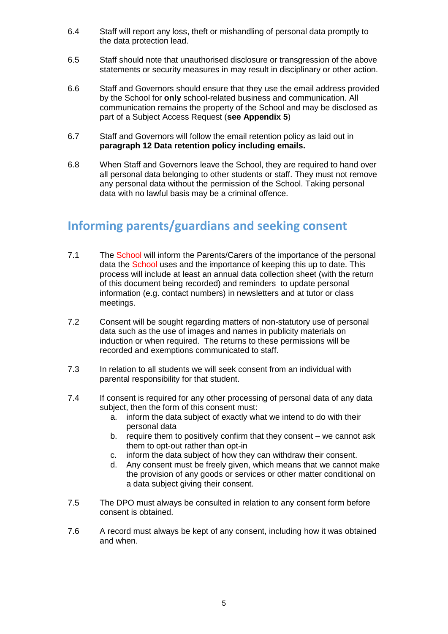- 6.4 Staff will report any loss, theft or mishandling of personal data promptly to the data protection lead.
- 6.5 Staff should note that unauthorised disclosure or transgression of the above statements or security measures in may result in disciplinary or other action.
- 6.6 Staff and Governors should ensure that they use the email address provided by the School for **only** school-related business and communication. All communication remains the property of the School and may be disclosed as part of a Subject Access Request (**see Appendix 5**)
- 6.7 Staff and Governors will follow the email retention policy as laid out in **paragraph 12 Data retention policy including emails.**
- 6.8 When Staff and Governors leave the School, they are required to hand over all personal data belonging to other students or staff. They must not remove any personal data without the permission of the School. Taking personal data with no lawful basis may be a criminal offence.

#### <span id="page-4-0"></span>**Informing parents/guardians and seeking consent**

- 7.1 The School will inform the Parents/Carers of the importance of the personal data the School uses and the importance of keeping this up to date. This process will include at least an annual data collection sheet (with the return of this document being recorded) and reminders to update personal information (e.g. contact numbers) in newsletters and at tutor or class meetings.
- 7.2 Consent will be sought regarding matters of non-statutory use of personal data such as the use of images and names in publicity materials on induction or when required. The returns to these permissions will be recorded and exemptions communicated to staff.
- 7.3 In relation to all students we will seek consent from an individual with parental responsibility for that student.
- 7.4 If consent is required for any other processing of personal data of any data subject, then the form of this consent must:
	- a. inform the data subject of exactly what we intend to do with their personal data
	- b. require them to positively confirm that they consent we cannot ask them to opt-out rather than opt-in
	- c. inform the data subject of how they can withdraw their consent.
	- d. Any consent must be freely given, which means that we cannot make the provision of any goods or services or other matter conditional on a data subject giving their consent.
- 7.5 The DPO must always be consulted in relation to any consent form before consent is obtained.
- 7.6 A record must always be kept of any consent, including how it was obtained and when.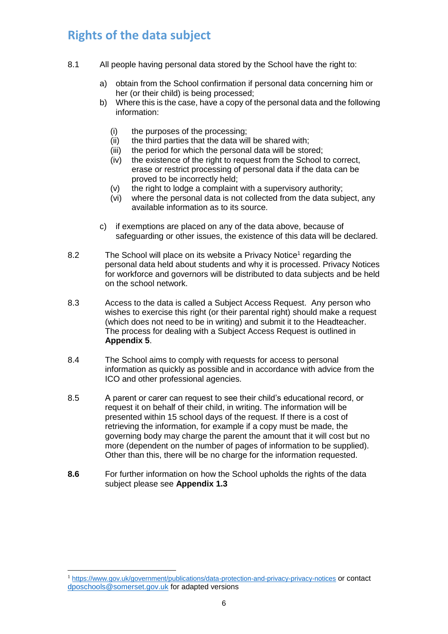### <span id="page-5-0"></span>**Rights of the data subject**

- 8.1 All people having personal data stored by the School have the right to:
	- a) obtain from the School confirmation if personal data concerning him or her (or their child) is being processed;
	- b) Where this is the case, have a copy of the personal data and the following information:
		- (i) the purposes of the processing;<br>(ii) the third parties that the data wil
		- the third parties that the data will be shared with;
		- (iii) the period for which the personal data will be stored;
		- (iv) the existence of the right to request from the School to correct, erase or restrict processing of personal data if the data can be proved to be incorrectly held;
		- (v) the right to lodge a complaint with a supervisory authority;
		- (vi) where the personal data is not collected from the data subject, any available information as to its source.
	- c) if exemptions are placed on any of the data above, because of safeguarding or other issues, the existence of this data will be declared.
- 8.2 The School will place on its website a Privacy Notice<sup>1</sup> regarding the personal data held about students and why it is processed. Privacy Notices for workforce and governors will be distributed to data subjects and be held on the school network.
- 8.3 Access to the data is called a Subject Access Request. Any person who wishes to exercise this right (or their parental right) should make a request (which does not need to be in writing) and submit it to the Headteacher. The process for dealing with a Subject Access Request is outlined in **Appendix 5**.
- 8.4 The School aims to comply with requests for access to personal information as quickly as possible and in accordance with advice from the ICO and other professional agencies.
- 8.5 A parent or carer can request to see their child's educational record, or request it on behalf of their child, in writing. The information will be presented within 15 school days of the request. If there is a cost of retrieving the information, for example if a copy must be made, the governing body may charge the parent the amount that it will cost but no more (dependent on the number of pages of information to be supplied). Other than this, there will be no charge for the information requested.
- **8.6** For further information on how the School upholds the rights of the data subject please see **Appendix 1.3**

-

<sup>1</sup> <https://www.gov.uk/government/publications/data-protection-and-privacy-privacy-notices> or contact [dposchools@somerset.gov.uk](mailto:dposchools@somerset.gov.uk) for adapted versions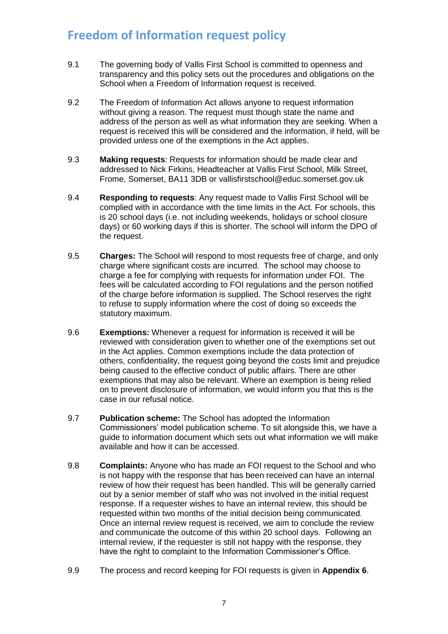### <span id="page-6-0"></span>**Freedom of Information request policy**

- 9.1 The governing body of Vallis First School is committed to openness and transparency and this policy sets out the procedures and obligations on the School when a Freedom of Information request is received.
- 9.2 The Freedom of Information Act allows anyone to request information without giving a reason. The request must though state the name and address of the person as well as what information they are seeking. When a request is received this will be considered and the information, if held, will be provided unless one of the exemptions in the Act applies.
- 9.3 **Making requests**: Requests for information should be made clear and addressed to Nick Firkins, Headteacher at Vallis First School, Milk Street, Frome, Somerset, BA11 3DB or vallisfirstschool@educ.somerset.gov.uk
- 9.4 **Responding to requests**: Any request made to Vallis First School will be complied with in accordance with the time limits in the Act. For schools, this is 20 school days (i.e. not including weekends, holidays or school closure days) or 60 working days if this is shorter. The school will inform the DPO of the request.
- 9.5 **Charges:** The School will respond to most requests free of charge, and only charge where significant costs are incurred. The school may choose to charge a fee for complying with requests for information under FOI. The fees will be calculated according to FOI regulations and the person notified of the charge before information is supplied. The School reserves the right to refuse to supply information where the cost of doing so exceeds the statutory maximum.
- 9.6 **Exemptions:** Whenever a request for information is received it will be reviewed with consideration given to whether one of the exemptions set out in the Act applies. Common exemptions include the data protection of others, confidentiality, the request going beyond the costs limit and prejudice being caused to the effective conduct of public affairs. There are other exemptions that may also be relevant. Where an exemption is being relied on to prevent disclosure of information, we would inform you that this is the case in our refusal notice.
- 9.7 **Publication scheme:** The School has adopted the Information Commissioners' model publication scheme. To sit alongside this, we have a guide to information document which sets out what information we will make available and how it can be accessed.
- 9.8 **Complaints:** Anyone who has made an FOI request to the School and who is not happy with the response that has been received can have an internal review of how their request has been handled. This will be generally carried out by a senior member of staff who was not involved in the initial request response. If a requester wishes to have an internal review, this should be requested within two months of the initial decision being communicated. Once an internal review request is received, we aim to conclude the review and communicate the outcome of this within 20 school days. Following an internal review, if the requester is still not happy with the response, they have the right to complaint to the Information Commissioner's Office.
- 9.9 The process and record keeping for FOI requests is given in **Appendix 6**.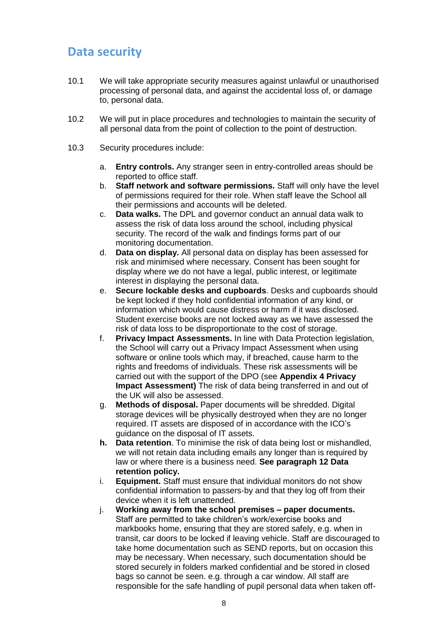### <span id="page-7-0"></span>**Data security**

- 10.1 We will take appropriate security measures against unlawful or unauthorised processing of personal data, and against the accidental loss of, or damage to, personal data.
- 10.2 We will put in place procedures and technologies to maintain the security of all personal data from the point of collection to the point of destruction.
- 10.3 Security procedures include:
	- a. **Entry controls.** Any stranger seen in entry-controlled areas should be reported to office staff.
	- b. **Staff network and software permissions.** Staff will only have the level of permissions required for their role. When staff leave the School all their permissions and accounts will be deleted.
	- c. **Data walks.** The DPL and governor conduct an annual data walk to assess the risk of data loss around the school, including physical security. The record of the walk and findings forms part of our monitoring documentation.
	- d. **Data on display.** All personal data on display has been assessed for risk and minimised where necessary. Consent has been sought for display where we do not have a legal, public interest, or legitimate interest in displaying the personal data.
	- e. **Secure lockable desks and cupboards**. Desks and cupboards should be kept locked if they hold confidential information of any kind, or information which would cause distress or harm if it was disclosed. Student exercise books are not locked away as we have assessed the risk of data loss to be disproportionate to the cost of storage.
	- f. **Privacy Impact Assessments.** In line with Data Protection legislation, the School will carry out a Privacy Impact Assessment when using software or online tools which may, if breached, cause harm to the rights and freedoms of individuals. These risk assessments will be carried out with the support of the DPO (see **Appendix 4 Privacy Impact Assessment)** The risk of data being transferred in and out of the UK will also be assessed.
	- g. **Methods of disposal.** Paper documents will be shredded. Digital storage devices will be physically destroyed when they are no longer required. IT assets are disposed of in accordance with the ICO's guidance on the disposal of IT assets.
	- **h. Data retention**. To minimise the risk of data being lost or mishandled, we will not retain data including emails any longer than is required by law or where there is a business need. **See paragraph 12 Data retention policy.**
	- i. **Equipment.** Staff must ensure that individual monitors do not show confidential information to passers-by and that they log off from their device when it is left unattended.
	- j. **Working away from the school premises – paper documents.** Staff are permitted to take children's work/exercise books and markbooks home, ensuring that they are stored safely, e.g. when in transit, car doors to be locked if leaving vehicle. Staff are discouraged to take home documentation such as SEND reports, but on occasion this may be necessary. When necessary, such documentation should be stored securely in folders marked confidential and be stored in closed bags so cannot be seen. e.g. through a car window. All staff are responsible for the safe handling of pupil personal data when taken off-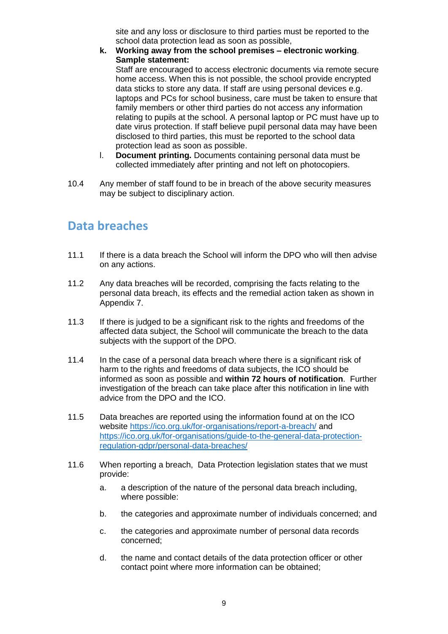site and any loss or disclosure to third parties must be reported to the school data protection lead as soon as possible,

**k. Working away from the school premises – electronic working**. **Sample statement:**

Staff are encouraged to access electronic documents via remote secure home access. When this is not possible, the school provide encrypted data sticks to store any data. If staff are using personal devices e.g. laptops and PCs for school business, care must be taken to ensure that family members or other third parties do not access any information relating to pupils at the school. A personal laptop or PC must have up to date virus protection. If staff believe pupil personal data may have been disclosed to third parties, this must be reported to the school data protection lead as soon as possible.

- l. **Document printing.** Documents containing personal data must be collected immediately after printing and not left on photocopiers.
- 10.4 Any member of staff found to be in breach of the above security measures may be subject to disciplinary action.

#### <span id="page-8-0"></span>**Data breaches**

- 11.1 If there is a data breach the School will inform the DPO who will then advise on any actions.
- 11.2 Any data breaches will be recorded, comprising the facts relating to the personal data breach, its effects and the remedial action taken as shown in Appendix 7.
- 11.3 If there is judged to be a significant risk to the rights and freedoms of the affected data subject, the School will communicate the breach to the data subjects with the support of the DPO.
- 11.4 In the case of a personal data breach where there is a significant risk of harm to the rights and freedoms of data subjects, the ICO should be informed as soon as possible and **within 72 hours of notification**. Further investigation of the breach can take place after this notification in line with advice from the DPO and the ICO.
- 11.5 Data breaches are reported using the information found at on the ICO website <https://ico.org.uk/for-organisations/report-a-breach/> and [https://ico.org.uk/for-organisations/guide-to-the-general-data-protection](https://ico.org.uk/for-organisations/guide-to-the-general-data-protection-regulation-gdpr/personal-data-breaches/)[regulation-gdpr/personal-data-breaches/](https://ico.org.uk/for-organisations/guide-to-the-general-data-protection-regulation-gdpr/personal-data-breaches/)
- 11.6 When reporting a breach, Data Protection legislation states that we must provide:
	- a. a description of the nature of the personal data breach including, where possible:
	- b. the categories and approximate number of individuals concerned; and
	- c. the categories and approximate number of personal data records concerned;
	- d. the name and contact details of the data protection officer or other contact point where more information can be obtained;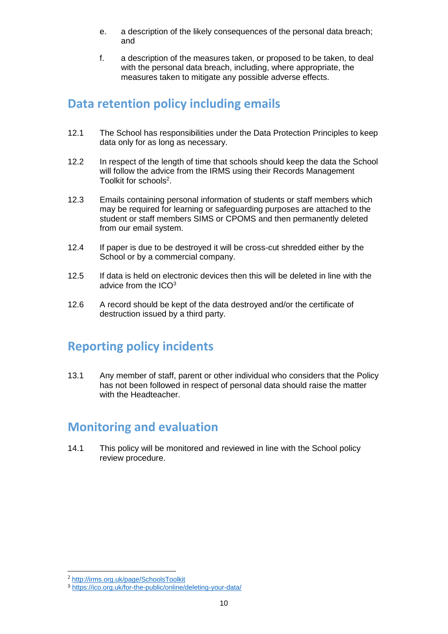- e. a description of the likely consequences of the personal data breach; and
- f. a description of the measures taken, or proposed to be taken, to deal with the personal data breach, including, where appropriate, the measures taken to mitigate any possible adverse effects.

#### <span id="page-9-0"></span>**Data retention policy including emails**

- 12.1 The School has responsibilities under the Data Protection Principles to keep data only for as long as necessary.
- 12.2 In respect of the length of time that schools should keep the data the School will follow the advice from the IRMS using their Records Management Toolkit for schools<sup>2</sup>.
- 12.3 Emails containing personal information of students or staff members which may be required for learning or safeguarding purposes are attached to the student or staff members SIMS or CPOMS and then permanently deleted from our email system.
- 12.4 If paper is due to be destroyed it will be cross-cut shredded either by the School or by a commercial company.
- 12.5 If data is held on electronic devices then this will be deleted in line with the advice from the  $ICO<sup>3</sup>$
- 12.6 A record should be kept of the data destroyed and/or the certificate of destruction issued by a third party.

### <span id="page-9-1"></span>**Reporting policy incidents**

13.1 Any member of staff, parent or other individual who considers that the Policy has not been followed in respect of personal data should raise the matter with the Headteacher.

### <span id="page-9-2"></span>**Monitoring and evaluation**

<span id="page-9-3"></span>14.1 This policy will be monitored and reviewed in line with the School policy review procedure.

<sup>-</sup><sup>2</sup> <http://irms.org.uk/page/SchoolsToolkit>

<sup>3</sup> <https://ico.org.uk/for-the-public/online/deleting-your-data/>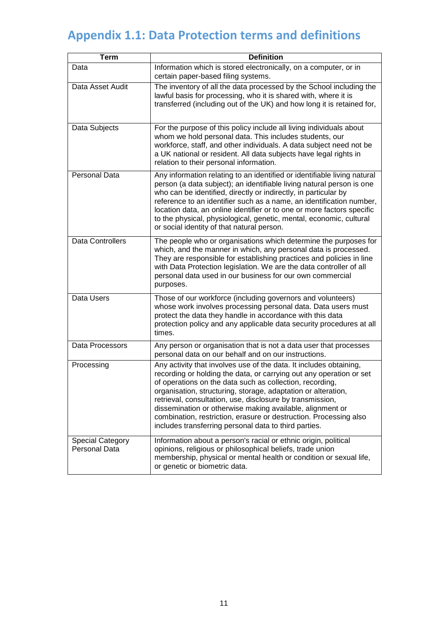# **Appendix 1.1: Data Protection terms and definitions**

| <b>Term</b>                                     | <b>Definition</b>                                                                                                                                                                                                                                                                                                                                                                                                                                                                                                              |
|-------------------------------------------------|--------------------------------------------------------------------------------------------------------------------------------------------------------------------------------------------------------------------------------------------------------------------------------------------------------------------------------------------------------------------------------------------------------------------------------------------------------------------------------------------------------------------------------|
| Data                                            | Information which is stored electronically, on a computer, or in<br>certain paper-based filing systems.                                                                                                                                                                                                                                                                                                                                                                                                                        |
| Data Asset Audit                                | The inventory of all the data processed by the School including the<br>lawful basis for processing, who it is shared with, where it is<br>transferred (including out of the UK) and how long it is retained for,                                                                                                                                                                                                                                                                                                               |
| Data Subjects                                   | For the purpose of this policy include all living individuals about<br>whom we hold personal data. This includes students, our<br>workforce, staff, and other individuals. A data subject need not be<br>a UK national or resident. All data subjects have legal rights in<br>relation to their personal information.                                                                                                                                                                                                          |
| <b>Personal Data</b>                            | Any information relating to an identified or identifiable living natural<br>person (a data subject); an identifiable living natural person is one<br>who can be identified, directly or indirectly, in particular by<br>reference to an identifier such as a name, an identification number,<br>location data, an online identifier or to one or more factors specific<br>to the physical, physiological, genetic, mental, economic, cultural<br>or social identity of that natural person.                                    |
| <b>Data Controllers</b>                         | The people who or organisations which determine the purposes for<br>which, and the manner in which, any personal data is processed.<br>They are responsible for establishing practices and policies in line<br>with Data Protection legislation. We are the data controller of all<br>personal data used in our business for our own commercial<br>purposes.                                                                                                                                                                   |
| Data Users                                      | Those of our workforce (including governors and volunteers)<br>whose work involves processing personal data. Data users must<br>protect the data they handle in accordance with this data<br>protection policy and any applicable data security procedures at all<br>times.                                                                                                                                                                                                                                                    |
| Data Processors                                 | Any person or organisation that is not a data user that processes<br>personal data on our behalf and on our instructions.                                                                                                                                                                                                                                                                                                                                                                                                      |
| Processing                                      | Any activity that involves use of the data. It includes obtaining,<br>recording or holding the data, or carrying out any operation or set<br>of operations on the data such as collection, recording,<br>organisation, structuring, storage, adaptation or alteration,<br>retrieval, consultation, use, disclosure by transmission,<br>dissemination or otherwise making available, alignment or<br>combination, restriction, erasure or destruction. Processing also<br>includes transferring personal data to third parties. |
| <b>Special Category</b><br><b>Personal Data</b> | Information about a person's racial or ethnic origin, political<br>opinions, religious or philosophical beliefs, trade union<br>membership, physical or mental health or condition or sexual life,<br>or genetic or biometric data.                                                                                                                                                                                                                                                                                            |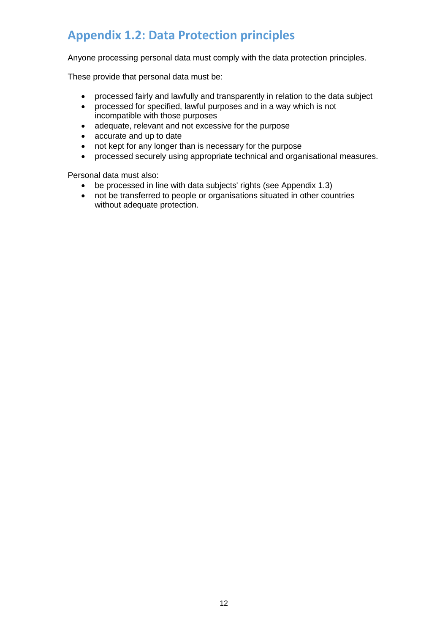## <span id="page-11-0"></span>**Appendix 1.2: Data Protection principles**

Anyone processing personal data must comply with the data protection principles.

These provide that personal data must be:

- processed fairly and lawfully and transparently in relation to the data subject<br>• processed for specified. lawful purposes and in a way which is not
- processed for specified, lawful purposes and in a way which is not incompatible with those purposes
- adequate, relevant and not excessive for the purpose<br>• accurate and up to date
- accurate and up to date
- not kept for any longer than is necessary for the purpose
- processed securely using appropriate technical and organisational measures.

Personal data must also:

- be processed in line with data subjects' rights (see Appendix 1.3)
- not be transferred to people or organisations situated in other countries without adequate protection.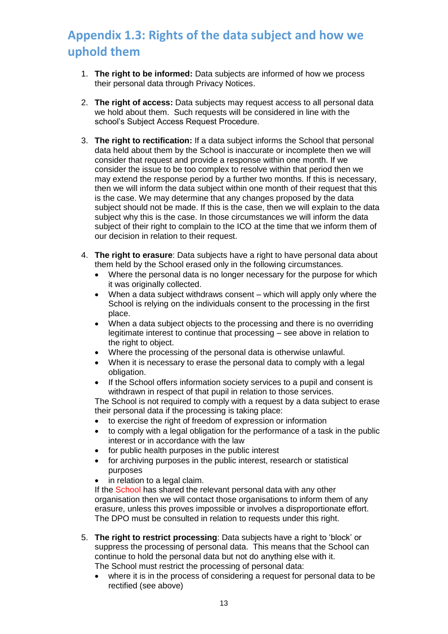# <span id="page-12-0"></span>**Appendix 1.3: Rights of the data subject and how we uphold them**

- 1. **The right to be informed:** Data subjects are informed of how we process their personal data through Privacy Notices.
- 2. **The right of access:** Data subjects may request access to all personal data we hold about them. Such requests will be considered in line with the school's Subject Access Request Procedure.
- 3. **The right to rectification:** If a data subject informs the School that personal data held about them by the School is inaccurate or incomplete then we will consider that request and provide a response within one month. If we consider the issue to be too complex to resolve within that period then we may extend the response period by a further two months. If this is necessary, then we will inform the data subject within one month of their request that this is the case. We may determine that any changes proposed by the data subject should not be made. If this is the case, then we will explain to the data subject why this is the case. In those circumstances we will inform the data subject of their right to complain to the ICO at the time that we inform them of our decision in relation to their request.
- 4. **The right to erasure**: Data subjects have a right to have personal data about them held by the School erased only in the following circumstances.
	- Where the personal data is no longer necessary for the purpose for which it was originally collected.
	- When a data subject withdraws consent which will apply only where the School is relying on the individuals consent to the processing in the first place.
	- When a data subject objects to the processing and there is no overriding legitimate interest to continue that processing – see above in relation to the right to object.
	- Where the processing of the personal data is otherwise unlawful.
	- When it is necessary to erase the personal data to comply with a legal obligation.
	- If the School offers information society services to a pupil and consent is withdrawn in respect of that pupil in relation to those services.

The School is not required to comply with a request by a data subject to erase their personal data if the processing is taking place:

- to exercise the right of freedom of expression or information
- to comply with a legal obligation for the performance of a task in the public interest or in accordance with the law
- for public health purposes in the public interest
- for archiving purposes in the public interest, research or statistical purposes
- in relation to a legal claim.

If the School has shared the relevant personal data with any other organisation then we will contact those organisations to inform them of any erasure, unless this proves impossible or involves a disproportionate effort. The DPO must be consulted in relation to requests under this right.

- 5. **The right to restrict processing**: Data subjects have a right to 'block' or suppress the processing of personal data. This means that the School can continue to hold the personal data but not do anything else with it. The School must restrict the processing of personal data:
	- where it is in the process of considering a request for personal data to be rectified (see above)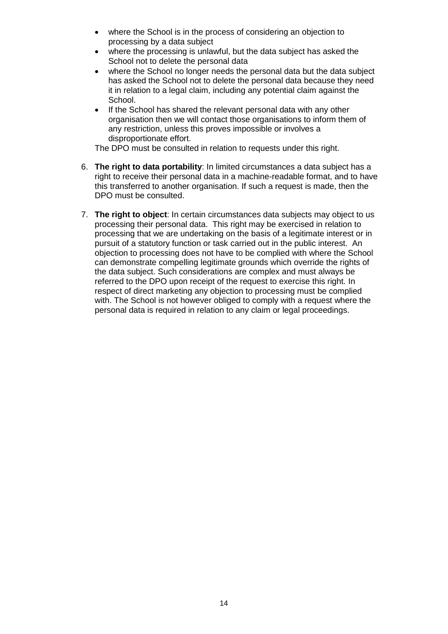- where the School is in the process of considering an objection to processing by a data subject
- where the processing is unlawful, but the data subject has asked the School not to delete the personal data
- where the School no longer needs the personal data but the data subject has asked the School not to delete the personal data because they need it in relation to a legal claim, including any potential claim against the School.
- If the School has shared the relevant personal data with any other organisation then we will contact those organisations to inform them of any restriction, unless this proves impossible or involves a disproportionate effort.

The DPO must be consulted in relation to requests under this right.

- 6. **The right to data portability**: In limited circumstances a data subject has a right to receive their personal data in a machine-readable format, and to have this transferred to another organisation. If such a request is made, then the DPO must be consulted.
- 7. **The right to object**: In certain circumstances data subjects may object to us processing their personal data. This right may be exercised in relation to processing that we are undertaking on the basis of a legitimate interest or in pursuit of a statutory function or task carried out in the public interest. An objection to processing does not have to be complied with where the School can demonstrate compelling legitimate grounds which override the rights of the data subject. Such considerations are complex and must always be referred to the DPO upon receipt of the request to exercise this right. In respect of direct marketing any objection to processing must be complied with. The School is not however obliged to comply with a request where the personal data is required in relation to any claim or legal proceedings.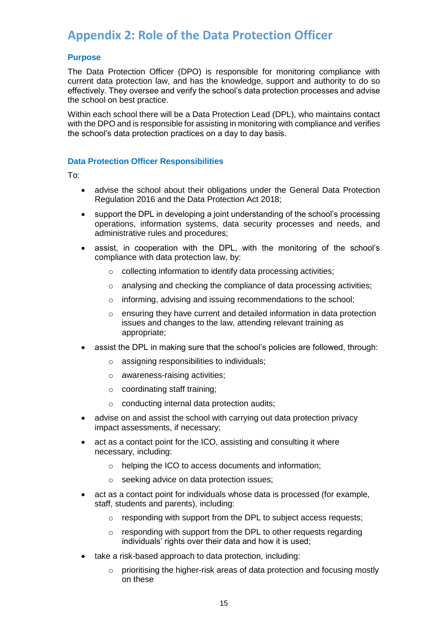### <span id="page-14-0"></span>**Appendix 2: Role of the Data Protection Officer**

#### **Purpose**

The Data Protection Officer (DPO) is responsible for monitoring compliance with current data protection law, and has the knowledge, support and authority to do so effectively. They oversee and verify the school's data protection processes and advise the school on best practice.

Within each school there will be a Data Protection Lead (DPL), who maintains contact with the DPO and is responsible for assisting in monitoring with compliance and verifies the school's data protection practices on a day to day basis.

#### **Data Protection Officer Responsibilities**

To:

- advise the school about their obligations under the General Data Protection Regulation 2016 and the Data Protection Act 2018;
- support the DPL in developing a joint understanding of the school's processing operations, information systems, data security processes and needs, and administrative rules and procedures;
- assist, in cooperation with the DPL, with the monitoring of the school's compliance with data protection law, by:
	- o collecting information to identify data processing activities;
	- o analysing and checking the compliance of data processing activities;
	- o informing, advising and issuing recommendations to the school;
	- o ensuring they have current and detailed information in data protection issues and changes to the law, attending relevant training as appropriate;
- assist the DPL in making sure that the school's policies are followed, through:
	- o assigning responsibilities to individuals;
	- o awareness-raising activities;
	- o coordinating staff training;
	- o conducting internal data protection audits;
- advise on and assist the school with carrying out data protection privacy impact assessments, if necessary;
- act as a contact point for the ICO, assisting and consulting it where necessary, including:
	- o helping the ICO to access documents and information;
	- o seeking advice on data protection issues;
- act as a contact point for individuals whose data is processed (for example, staff, students and parents), including:
	- o responding with support from the DPL to subject access requests;
	- o responding with support from the DPL to other requests regarding individuals' rights over their data and how it is used;
- take a risk-based approach to data protection, including:
	- $\circ$  prioritising the higher-risk areas of data protection and focusing mostly on these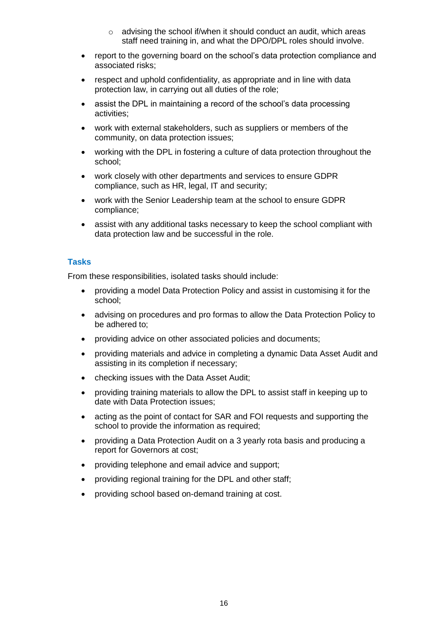- o advising the school if/when it should conduct an audit, which areas staff need training in, and what the DPO/DPL roles should involve.
- report to the governing board on the school's data protection compliance and associated risks;
- respect and uphold confidentiality, as appropriate and in line with data protection law, in carrying out all duties of the role;
- assist the DPL in maintaining a record of the school's data processing activities;
- work with external stakeholders, such as suppliers or members of the community, on data protection issues;
- working with the DPL in fostering a culture of data protection throughout the school;
- work closely with other departments and services to ensure GDPR compliance, such as HR, legal, IT and security;
- work with the Senior Leadership team at the school to ensure GDPR compliance;
- assist with any additional tasks necessary to keep the school compliant with data protection law and be successful in the role.

#### **Tasks**

From these responsibilities, isolated tasks should include:

- providing a model Data Protection Policy and assist in customising it for the school;
- advising on procedures and pro formas to allow the Data Protection Policy to be adhered to;
- providing advice on other associated policies and documents;
- providing materials and advice in completing a dynamic Data Asset Audit and assisting in its completion if necessary;
- checking issues with the Data Asset Audit;
- providing training materials to allow the DPL to assist staff in keeping up to date with Data Protection issues;
- acting as the point of contact for SAR and FOI requests and supporting the school to provide the information as required;
- providing a Data Protection Audit on a 3 yearly rota basis and producing a report for Governors at cost;
- providing telephone and email advice and support;
- providing regional training for the DPL and other staff;
- providing school based on-demand training at cost.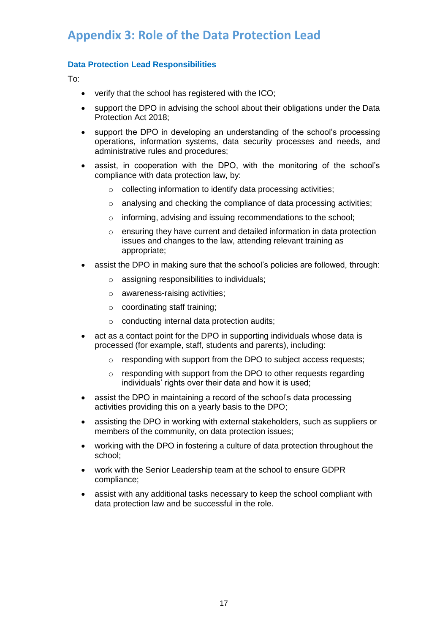### <span id="page-16-0"></span>**Appendix 3: Role of the Data Protection Lead**

#### **Data Protection Lead Responsibilities**

To:

- verify that the school has registered with the ICO;
- support the DPO in advising the school about their obligations under the Data Protection Act 2018;
- support the DPO in developing an understanding of the school's processing operations, information systems, data security processes and needs, and administrative rules and procedures;
- assist, in cooperation with the DPO, with the monitoring of the school's compliance with data protection law, by:
	- o collecting information to identify data processing activities;
	- o analysing and checking the compliance of data processing activities;
	- o informing, advising and issuing recommendations to the school;
	- o ensuring they have current and detailed information in data protection issues and changes to the law, attending relevant training as appropriate;
- assist the DPO in making sure that the school's policies are followed, through:
	- o assigning responsibilities to individuals;
	- o awareness-raising activities;
	- o coordinating staff training;
	- o conducting internal data protection audits;
- act as a contact point for the DPO in supporting individuals whose data is processed (for example, staff, students and parents), including:
	- o responding with support from the DPO to subject access requests;
	- $\circ$  responding with support from the DPO to other requests regarding individuals' rights over their data and how it is used;
- assist the DPO in maintaining a record of the school's data processing activities providing this on a yearly basis to the DPO;
- assisting the DPO in working with external stakeholders, such as suppliers or members of the community, on data protection issues;
- working with the DPO in fostering a culture of data protection throughout the school;
- work with the Senior Leadership team at the school to ensure GDPR compliance;
- assist with any additional tasks necessary to keep the school compliant with data protection law and be successful in the role.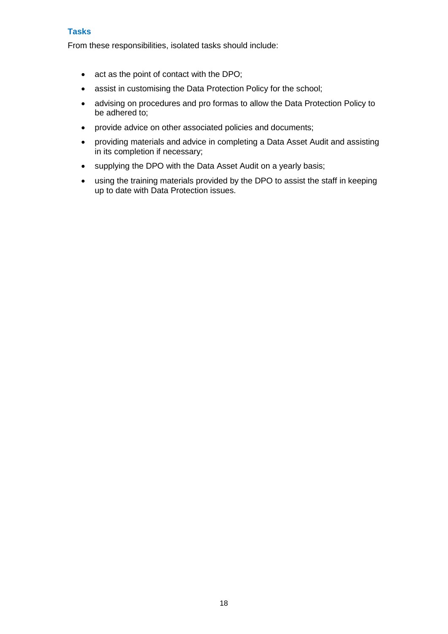#### **Tasks**

From these responsibilities, isolated tasks should include:

- act as the point of contact with the DPO;
- assist in customising the Data Protection Policy for the school;
- advising on procedures and pro formas to allow the Data Protection Policy to be adhered to;
- provide advice on other associated policies and documents;
- providing materials and advice in completing a Data Asset Audit and assisting in its completion if necessary;
- supplying the DPO with the Data Asset Audit on a yearly basis;
- using the training materials provided by the DPO to assist the staff in keeping up to date with Data Protection issues.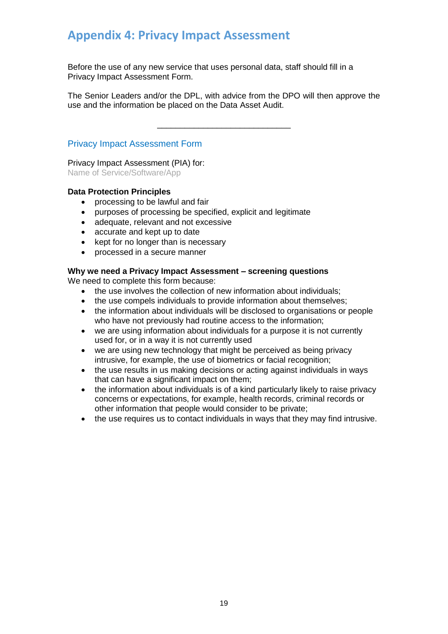### <span id="page-18-0"></span>**Appendix 4: Privacy Impact Assessment**

Before the use of any new service that uses personal data, staff should fill in a Privacy Impact Assessment Form.

The Senior Leaders and/or the DPL, with advice from the DPO will then approve the use and the information be placed on the Data Asset Audit.

\_\_\_\_\_\_\_\_\_\_\_\_\_\_\_\_\_\_\_\_\_\_\_\_\_\_\_\_\_

#### Privacy Impact Assessment Form

Privacy Impact Assessment (PIA) for: Name of Service/Software/App

#### **Data Protection Principles**

- processing to be lawful and fair
- purposes of processing be specified, explicit and legitimate
- adequate, relevant and not excessive
- accurate and kept up to date
- kept for no longer than is necessary
- processed in a secure manner

#### **Why we need a Privacy Impact Assessment – screening questions**

We need to complete this form because:

- the use involves the collection of new information about individuals;
- the use compels individuals to provide information about themselves;
- the information about individuals will be disclosed to organisations or people who have not previously had routine access to the information;
- we are using information about individuals for a purpose it is not currently used for, or in a way it is not currently used
- we are using new technology that might be perceived as being privacy intrusive, for example, the use of biometrics or facial recognition;
- the use results in us making decisions or acting against individuals in ways that can have a significant impact on them;
- the information about individuals is of a kind particularly likely to raise privacy concerns or expectations, for example, health records, criminal records or other information that people would consider to be private;
- the use requires us to contact individuals in ways that they may find intrusive.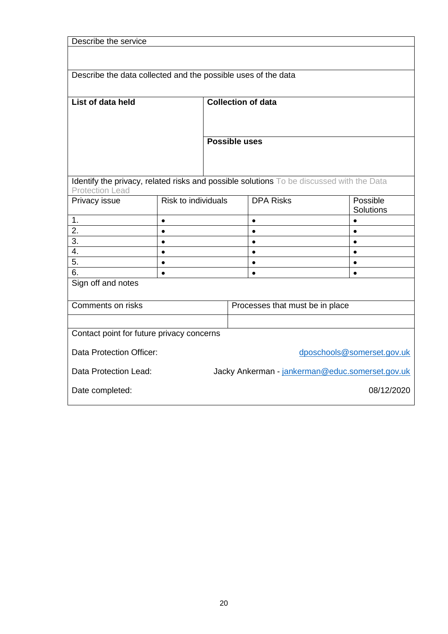| Describe the service                                                                     |                            |                           |                                 |                        |  |                        |
|------------------------------------------------------------------------------------------|----------------------------|---------------------------|---------------------------------|------------------------|--|------------------------|
|                                                                                          |                            |                           |                                 |                        |  |                        |
|                                                                                          |                            |                           |                                 |                        |  |                        |
| Describe the data collected and the possible uses of the data                            |                            |                           |                                 |                        |  |                        |
|                                                                                          |                            |                           |                                 |                        |  |                        |
| List of data held                                                                        |                            | <b>Collection of data</b> |                                 |                        |  |                        |
|                                                                                          |                            |                           |                                 |                        |  |                        |
|                                                                                          |                            |                           |                                 |                        |  |                        |
|                                                                                          |                            |                           |                                 |                        |  |                        |
|                                                                                          |                            | Possible uses             |                                 |                        |  |                        |
|                                                                                          |                            |                           |                                 |                        |  |                        |
|                                                                                          |                            |                           |                                 |                        |  |                        |
| Identify the privacy, related risks and possible solutions To be discussed with the Data |                            |                           |                                 |                        |  |                        |
| <b>Protection Lead</b>                                                                   |                            |                           |                                 |                        |  |                        |
| Privacy issue                                                                            | <b>Risk to individuals</b> |                           |                                 | <b>DPA Risks</b>       |  | Possible               |
| 1.                                                                                       |                            |                           |                                 |                        |  | Solutions              |
| 2.                                                                                       | $\bullet$<br>$\bullet$     |                           |                                 | $\bullet$<br>$\bullet$ |  | $\bullet$<br>$\bullet$ |
| 3.                                                                                       | $\bullet$                  |                           |                                 | $\bullet$              |  | $\bullet$              |
| 4.                                                                                       | $\bullet$                  |                           |                                 | $\bullet$              |  | $\bullet$              |
| 5.                                                                                       | $\bullet$                  |                           |                                 | $\bullet$              |  | $\bullet$              |
| 6.                                                                                       | $\bullet$                  |                           |                                 | $\bullet$              |  | $\bullet$              |
| Sign off and notes                                                                       |                            |                           |                                 |                        |  |                        |
|                                                                                          |                            |                           |                                 |                        |  |                        |
| Comments on risks                                                                        |                            |                           | Processes that must be in place |                        |  |                        |
|                                                                                          |                            |                           |                                 |                        |  |                        |
| Contact point for future privacy concerns                                                |                            |                           |                                 |                        |  |                        |
|                                                                                          |                            |                           |                                 |                        |  |                        |
| Data Protection Officer:<br>dposchools@somerset.gov.uk                                   |                            |                           |                                 |                        |  |                        |
| Jacky Ankerman - jankerman@educ.somerset.gov.uk<br>Data Protection Lead:                 |                            |                           |                                 |                        |  |                        |
|                                                                                          |                            |                           |                                 |                        |  |                        |
| 08/12/2020<br>Date completed:                                                            |                            |                           |                                 |                        |  |                        |
|                                                                                          |                            |                           |                                 |                        |  |                        |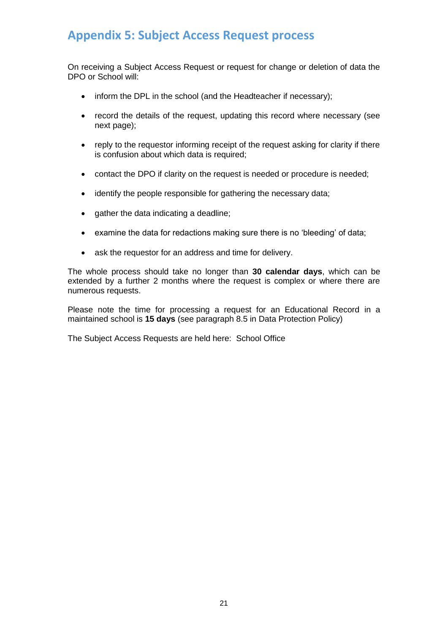### <span id="page-20-0"></span>**Appendix 5: Subject Access Request process**

On receiving a Subject Access Request or request for change or deletion of data the DPO or School will:

- inform the DPL in the school (and the Headteacher if necessary);
- record the details of the request, updating this record where necessary (see next page);
- reply to the requestor informing receipt of the request asking for clarity if there is confusion about which data is required;
- contact the DPO if clarity on the request is needed or procedure is needed;
- identify the people responsible for gathering the necessary data;
- gather the data indicating a deadline;
- examine the data for redactions making sure there is no 'bleeding' of data;
- ask the requestor for an address and time for delivery.

The whole process should take no longer than **30 calendar days**, which can be extended by a further 2 months where the request is complex or where there are numerous requests.

Please note the time for processing a request for an Educational Record in a maintained school is **15 days** (see paragraph 8.5 in Data Protection Policy)

The Subject Access Requests are held here: School Office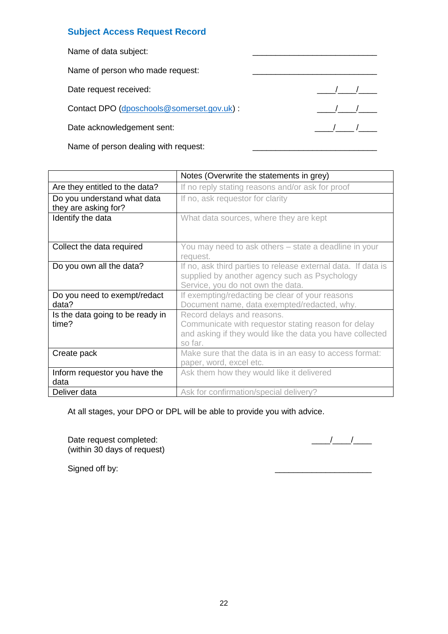#### **Subject Access Request Record**

| Name of data subject:                     |  |
|-------------------------------------------|--|
| Name of person who made request:          |  |
| Date request received:                    |  |
| Contact DPO (dposchools@somerset.gov.uk): |  |
| Date acknowledgement sent:                |  |
|                                           |  |

Name of person dealing with request:

|                                                     | Notes (Overwrite the statements in grey)                                                                                                                  |
|-----------------------------------------------------|-----------------------------------------------------------------------------------------------------------------------------------------------------------|
| Are they entitled to the data?                      | If no reply stating reasons and/or ask for proof                                                                                                          |
| Do you understand what data<br>they are asking for? | If no, ask requestor for clarity                                                                                                                          |
| Identify the data                                   | What data sources, where they are kept                                                                                                                    |
| Collect the data required                           | You may need to ask others – state a deadline in your<br>request.                                                                                         |
| Do you own all the data?                            | If no, ask third parties to release external data. If data is<br>supplied by another agency such as Psychology<br>Service, you do not own the data.       |
| Do you need to exempt/redact<br>data?               | If exempting/redacting be clear of your reasons<br>Document name, data exempted/redacted, why.                                                            |
| Is the data going to be ready in<br>time?           | Record delays and reasons.<br>Communicate with requestor stating reason for delay<br>and asking if they would like the data you have collected<br>so far. |
| Create pack                                         | Make sure that the data is in an easy to access format:<br>paper, word, excel etc.                                                                        |
| Inform requestor you have the<br>data               | Ask them how they would like it delivered                                                                                                                 |
| Deliver data                                        | Ask for confirmation/special delivery?                                                                                                                    |

At all stages, your DPO or DPL will be able to provide you with advice.

Date request completed: \_\_\_\_/\_\_\_\_/\_\_\_\_ (within 30 days of request)

Signed off by: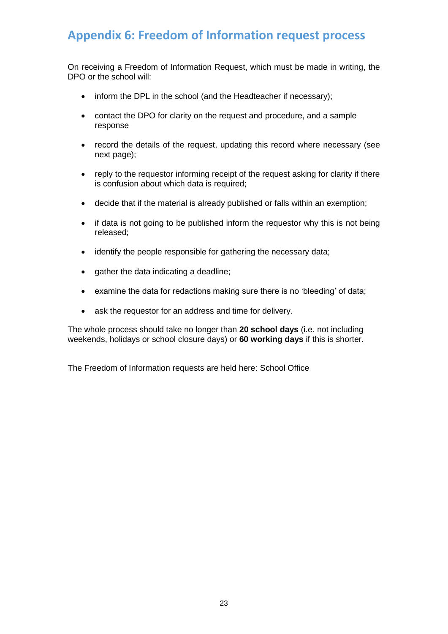## <span id="page-22-0"></span>**Appendix 6: Freedom of Information request process**

On receiving a Freedom of Information Request, which must be made in writing, the DPO or the school will:

- inform the DPL in the school (and the Headteacher if necessary);
- contact the DPO for clarity on the request and procedure, and a sample response
- record the details of the request, updating this record where necessary (see next page);
- reply to the requestor informing receipt of the request asking for clarity if there is confusion about which data is required;
- decide that if the material is already published or falls within an exemption;
- if data is not going to be published inform the requestor why this is not being released;
- identify the people responsible for gathering the necessary data;
- gather the data indicating a deadline;
- examine the data for redactions making sure there is no 'bleeding' of data;
- ask the requestor for an address and time for delivery.

The whole process should take no longer than **20 school days** (i.e. not including weekends, holidays or school closure days) or **60 working days** if this is shorter.

The Freedom of Information requests are held here: School Office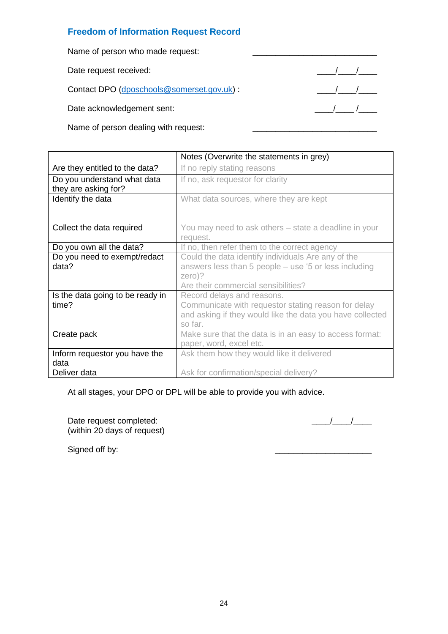#### **Freedom of Information Request Record**

Name of person who made request:

Date request received: \_\_\_\_/\_\_\_\_/\_\_\_\_

Contact DPO [\(dposchools@somerset.gov.uk\)](mailto:dposchools@somerset.gov.uk) : \_\_\_\_/\_\_\_\_/\_\_\_\_

Date acknowledgement sent: \_\_\_\_/\_\_\_\_ /\_\_\_\_

Name of person dealing with request:

|                                                     | Notes (Overwrite the statements in grey)                                                                                                                     |
|-----------------------------------------------------|--------------------------------------------------------------------------------------------------------------------------------------------------------------|
| Are they entitled to the data?                      | If no reply stating reasons                                                                                                                                  |
| Do you understand what data<br>they are asking for? | If no, ask requestor for clarity                                                                                                                             |
| Identify the data                                   | What data sources, where they are kept                                                                                                                       |
| Collect the data required                           | You may need to ask others – state a deadline in your<br>request.                                                                                            |
| Do you own all the data?                            | If no, then refer them to the correct agency                                                                                                                 |
| Do you need to exempt/redact<br>data?               | Could the data identify individuals Are any of the<br>answers less than 5 people – use '5 or less including<br>zero)?<br>Are their commercial sensibilities? |
| Is the data going to be ready in<br>time?           | Record delays and reasons.<br>Communicate with requestor stating reason for delay<br>and asking if they would like the data you have collected<br>so far.    |
| Create pack                                         | Make sure that the data is in an easy to access format:<br>paper, word, excel etc.                                                                           |
| Inform requestor you have the<br>data               | Ask them how they would like it delivered                                                                                                                    |
| Deliver data                                        | Ask for confirmation/special delivery?                                                                                                                       |

At all stages, your DPO or DPL will be able to provide you with advice.

Date request completed: \_\_\_\_/\_\_\_\_/\_\_\_\_ (within 20 days of request)

Signed off by: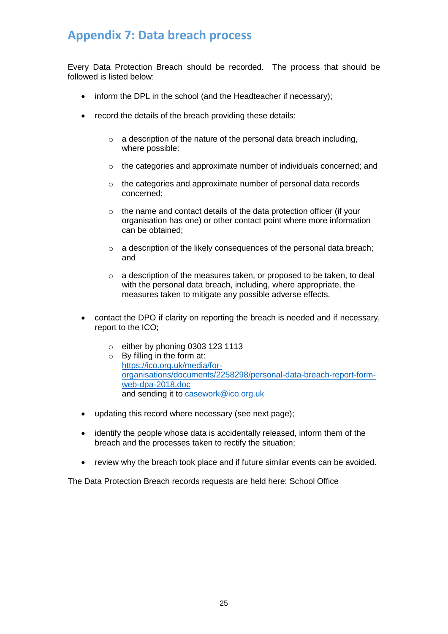### <span id="page-24-0"></span>**Appendix 7: Data breach process**

Every Data Protection Breach should be recorded. The process that should be followed is listed below:

- inform the DPL in the school (and the Headteacher if necessary);
- record the details of the breach providing these details:
	- $\circ$  a description of the nature of the personal data breach including, where possible:
	- o the categories and approximate number of individuals concerned; and
	- o the categories and approximate number of personal data records concerned;
	- o the name and contact details of the data protection officer (if your organisation has one) or other contact point where more information can be obtained;
	- o a description of the likely consequences of the personal data breach; and
	- o a description of the measures taken, or proposed to be taken, to deal with the personal data breach, including, where appropriate, the measures taken to mitigate any possible adverse effects.
- contact the DPO if clarity on reporting the breach is needed and if necessary, report to the ICO;
	- $\circ$  either by phoning 0303 123 1113
	- o By filling in the form at: [https://ico.org.uk/media/for](https://ico.org.uk/media/for-organisations/documents/2258298/personal-data-breach-report-form-web-dpa-2018.doc)[organisations/documents/2258298/personal-data-breach-report-form](https://ico.org.uk/media/for-organisations/documents/2258298/personal-data-breach-report-form-web-dpa-2018.doc)[web-dpa-2018.doc](https://ico.org.uk/media/for-organisations/documents/2258298/personal-data-breach-report-form-web-dpa-2018.doc) and sending it to [casework@ico.org.uk](mailto:casework@ico.org.uk)
- updating this record where necessary (see next page);
- identify the people whose data is accidentally released, inform them of the breach and the processes taken to rectify the situation;
- review why the breach took place and if future similar events can be avoided.

The Data Protection Breach records requests are held here: School Office